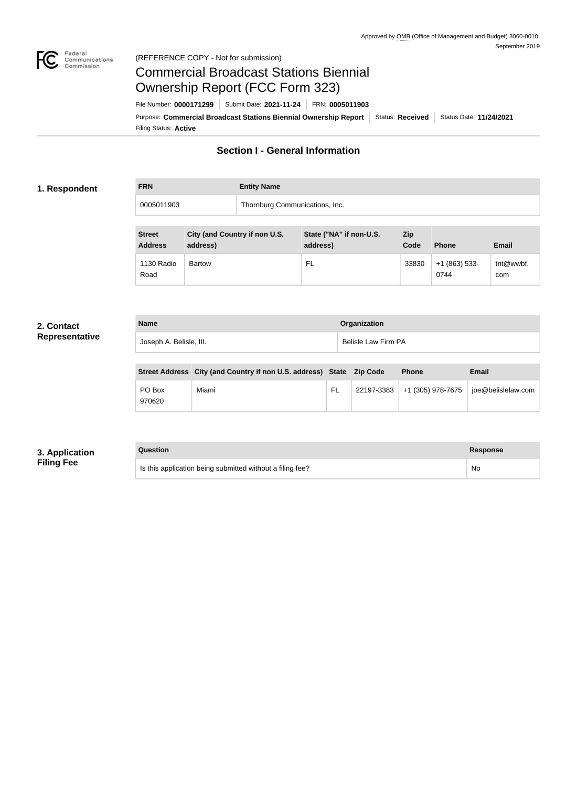

# Commercial Broadcast Stations Biennial Ownership Report (FCC Form 323)

Filing Status: **Active** Purpose: Commercial Broadcast Stations Biennial Ownership Report Status: Received Status Date: 11/24/2021 File Number: **0000171299** Submit Date: **2021-11-24** FRN: **0005011903**

# **Section I - General Information**

### **1. Respondent**

**FRN Entity Name** 0005011903 Thornburg Communications, Inc.

| <b>Street</b><br><b>Address</b> | City (and Country if non U.S.<br>address) | State ("NA" if non-U.S.<br>address) | Zip<br>Code | <b>Phone</b>           | <b>Email</b>     |
|---------------------------------|-------------------------------------------|-------------------------------------|-------------|------------------------|------------------|
| 1130 Radio<br>Road              | <b>Bartow</b>                             | FL                                  | 33830       | $+1(863)$ 533-<br>0744 | tnt@wwbf.<br>com |

### **2. Contact Representative**

| <b>Name</b>             | Organization        |
|-------------------------|---------------------|
| Joseph A. Belisle, III. | Belisle Law Firm PA |

|                  | Street Address City (and Country if non U.S. address) State Zip Code |     |            | <b>Phone</b>      | <b>Email</b>       |
|------------------|----------------------------------------------------------------------|-----|------------|-------------------|--------------------|
| PO Box<br>970620 | Miami                                                                | FL. | 22197-3383 | +1 (305) 978-7675 | joe@belislelaw.com |

# **3. Application Filing Fee**

#### **Question Response**

Is this application being submitted without a filing fee? No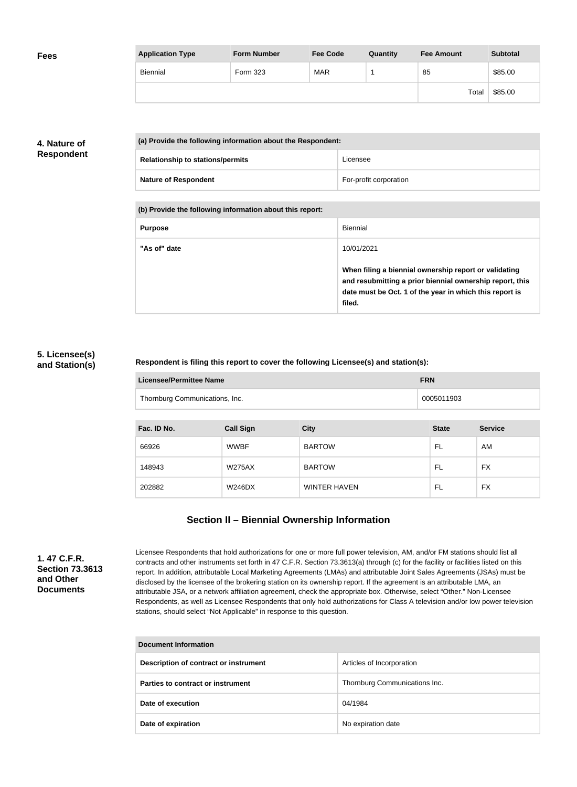| <b>Fees</b> | <b>Application Type</b> | <b>Form Number</b> | <b>Fee Code</b> | Quantity | <b>Fee Amount</b> | <b>Subtotal</b> |
|-------------|-------------------------|--------------------|-----------------|----------|-------------------|-----------------|
|             | Biennial                | Form 323           | <b>MAR</b>      |          | 85                | \$85.00         |
|             |                         |                    |                 |          | Total             | \$85.00         |

# **4. Nature of Respondent**

| (a) Provide the following information about the Respondent: |                        |
|-------------------------------------------------------------|------------------------|
| <b>Relationship to stations/permits</b>                     | Licensee               |
| <b>Nature of Respondent</b>                                 | For-profit corporation |

**(b) Provide the following information about this report:**

| <b>Purpose</b> | Biennial                                                                                                                                                                               |
|----------------|----------------------------------------------------------------------------------------------------------------------------------------------------------------------------------------|
| "As of" date   | 10/01/2021                                                                                                                                                                             |
|                | When filing a biennial ownership report or validating<br>and resubmitting a prior biennial ownership report, this<br>date must be Oct. 1 of the year in which this report is<br>filed. |

### **5. Licensee(s) and Station(s)**

### **Respondent is filing this report to cover the following Licensee(s) and station(s):**

| Licensee/Permittee Name        | <b>FRN</b> |
|--------------------------------|------------|
| Thornburg Communications, Inc. | 0005011903 |

| Fac. ID No. | <b>Call Sign</b> | <b>City</b>         | <b>State</b> | <b>Service</b> |
|-------------|------------------|---------------------|--------------|----------------|
| 66926       | <b>WWBF</b>      | <b>BARTOW</b>       | FL           | AM             |
| 148943      | <b>W275AX</b>    | <b>BARTOW</b>       | FL           | <b>FX</b>      |
| 202882      | <b>W246DX</b>    | <b>WINTER HAVEN</b> | FL           | <b>FX</b>      |

# **Section II – Biennial Ownership Information**

**1. 47 C.F.R. Section 73.3613 and Other Documents**

Licensee Respondents that hold authorizations for one or more full power television, AM, and/or FM stations should list all contracts and other instruments set forth in 47 C.F.R. Section 73.3613(a) through (c) for the facility or facilities listed on this report. In addition, attributable Local Marketing Agreements (LMAs) and attributable Joint Sales Agreements (JSAs) must be disclosed by the licensee of the brokering station on its ownership report. If the agreement is an attributable LMA, an attributable JSA, or a network affiliation agreement, check the appropriate box. Otherwise, select "Other." Non-Licensee Respondents, as well as Licensee Respondents that only hold authorizations for Class A television and/or low power television stations, should select "Not Applicable" in response to this question.

| <b>Document Information</b>           |                               |  |
|---------------------------------------|-------------------------------|--|
| Description of contract or instrument | Articles of Incorporation     |  |
| Parties to contract or instrument     | Thornburg Communications Inc. |  |
| Date of execution                     | 04/1984                       |  |
| Date of expiration                    | No expiration date            |  |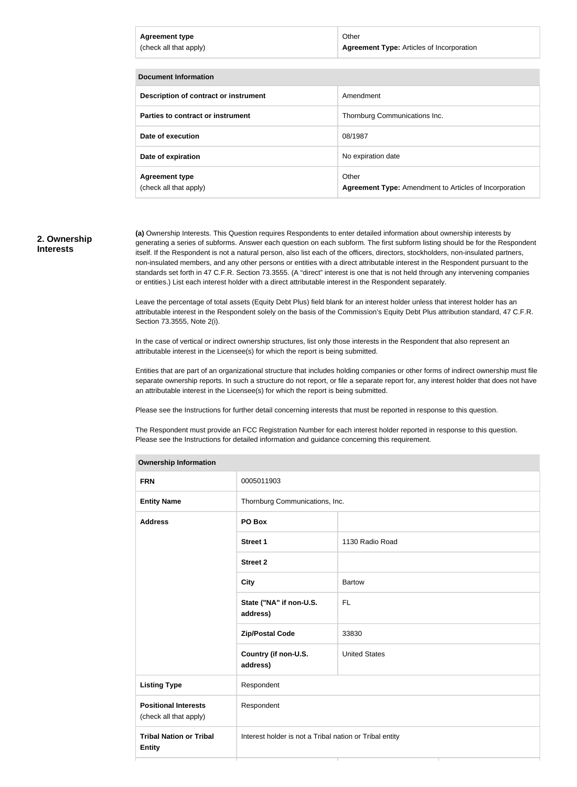| <b>Agreement type</b><br>(check all that apply) | Other<br><b>Agreement Type: Articles of Incorporation</b> |
|-------------------------------------------------|-----------------------------------------------------------|
|                                                 |                                                           |
| Documont Information                            |                                                           |

| <b>DUCUNICIII</b> IIIIUI IIIIIUII               |                                                                        |  |
|-------------------------------------------------|------------------------------------------------------------------------|--|
| Description of contract or instrument           | Amendment                                                              |  |
| Parties to contract or instrument               | Thornburg Communications Inc.                                          |  |
| Date of execution                               | 08/1987                                                                |  |
| Date of expiration                              | No expiration date                                                     |  |
| <b>Agreement type</b><br>(check all that apply) | Other<br><b>Agreement Type:</b> Amendment to Articles of Incorporation |  |

### **2. Ownership Interests**

**(a)** Ownership Interests. This Question requires Respondents to enter detailed information about ownership interests by generating a series of subforms. Answer each question on each subform. The first subform listing should be for the Respondent itself. If the Respondent is not a natural person, also list each of the officers, directors, stockholders, non-insulated partners, non-insulated members, and any other persons or entities with a direct attributable interest in the Respondent pursuant to the standards set forth in 47 C.F.R. Section 73.3555. (A "direct" interest is one that is not held through any intervening companies or entities.) List each interest holder with a direct attributable interest in the Respondent separately.

Leave the percentage of total assets (Equity Debt Plus) field blank for an interest holder unless that interest holder has an attributable interest in the Respondent solely on the basis of the Commission's Equity Debt Plus attribution standard, 47 C.F.R. Section 73.3555, Note 2(i).

In the case of vertical or indirect ownership structures, list only those interests in the Respondent that also represent an attributable interest in the Licensee(s) for which the report is being submitted.

Entities that are part of an organizational structure that includes holding companies or other forms of indirect ownership must file separate ownership reports. In such a structure do not report, or file a separate report for, any interest holder that does not have an attributable interest in the Licensee(s) for which the report is being submitted.

Please see the Instructions for further detail concerning interests that must be reported in response to this question.

The Respondent must provide an FCC Registration Number for each interest holder reported in response to this question. Please see the Instructions for detailed information and guidance concerning this requirement.

| <b>Ownership Information</b>                          |                                                         |                      |  |
|-------------------------------------------------------|---------------------------------------------------------|----------------------|--|
| <b>FRN</b>                                            | 0005011903                                              |                      |  |
| <b>Entity Name</b>                                    | Thornburg Communications, Inc.                          |                      |  |
| <b>Address</b>                                        | PO Box                                                  |                      |  |
|                                                       | <b>Street 1</b>                                         | 1130 Radio Road      |  |
|                                                       | <b>Street 2</b>                                         |                      |  |
|                                                       | <b>City</b>                                             | <b>Bartow</b>        |  |
|                                                       | State ("NA" if non-U.S.<br>address)                     | <b>FL</b>            |  |
|                                                       | <b>Zip/Postal Code</b>                                  | 33830                |  |
|                                                       | Country (if non-U.S.<br>address)                        | <b>United States</b> |  |
| <b>Listing Type</b>                                   | Respondent                                              |                      |  |
| <b>Positional Interests</b><br>(check all that apply) | Respondent                                              |                      |  |
| <b>Tribal Nation or Tribal</b><br><b>Entity</b>       | Interest holder is not a Tribal nation or Tribal entity |                      |  |
|                                                       |                                                         |                      |  |

#### **Ownership Information**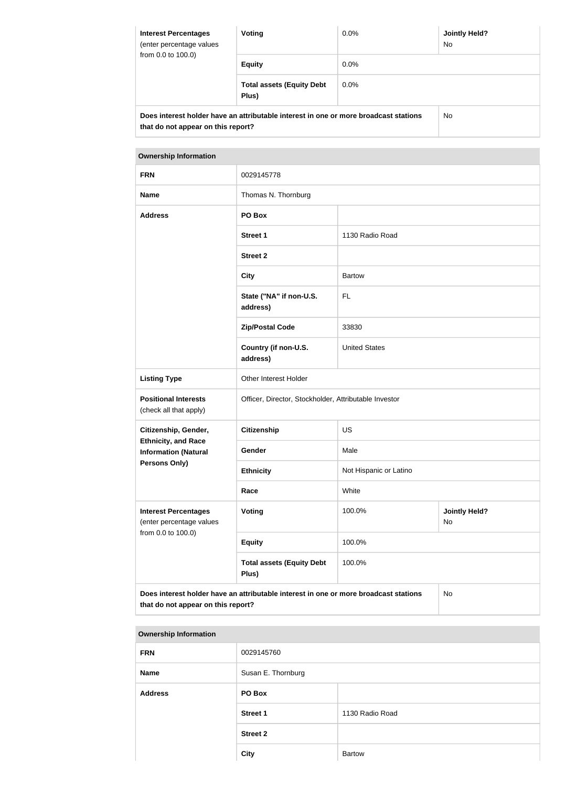| <b>Interest Percentages</b><br>(enter percentage values<br>from 0.0 to 100.0) | Voting                                                                               | $0.0\%$ | <b>Jointly Held?</b><br><b>No</b> |  |
|-------------------------------------------------------------------------------|--------------------------------------------------------------------------------------|---------|-----------------------------------|--|
|                                                                               | <b>Equity</b>                                                                        | $0.0\%$ |                                   |  |
|                                                                               | <b>Total assets (Equity Debt</b><br>Plus)                                            | $0.0\%$ |                                   |  |
| that do not appear on this report?                                            | Does interest holder have an attributable interest in one or more broadcast stations |         | No.                               |  |

### **Ownership Information**

| <b>FRN</b>                                                                    | 0029145778                                                                           |                                      |    |  |
|-------------------------------------------------------------------------------|--------------------------------------------------------------------------------------|--------------------------------------|----|--|
| <b>Name</b>                                                                   | Thomas N. Thornburg                                                                  |                                      |    |  |
| <b>Address</b>                                                                | PO Box                                                                               |                                      |    |  |
|                                                                               | <b>Street 1</b>                                                                      | 1130 Radio Road                      |    |  |
|                                                                               | <b>Street 2</b>                                                                      |                                      |    |  |
|                                                                               | <b>City</b>                                                                          | <b>Bartow</b>                        |    |  |
|                                                                               | State ("NA" if non-U.S.<br>address)                                                  | <b>FL</b>                            |    |  |
|                                                                               | <b>Zip/Postal Code</b>                                                               | 33830                                |    |  |
|                                                                               | Country (if non-U.S.<br>address)                                                     | <b>United States</b>                 |    |  |
| <b>Listing Type</b>                                                           | Other Interest Holder                                                                |                                      |    |  |
| <b>Positional Interests</b><br>(check all that apply)                         | Officer, Director, Stockholder, Attributable Investor                                |                                      |    |  |
| Citizenship, Gender,                                                          | <b>Citizenship</b>                                                                   | <b>US</b>                            |    |  |
| <b>Ethnicity, and Race</b><br><b>Information (Natural</b>                     | Gender                                                                               | Male                                 |    |  |
| <b>Persons Only)</b>                                                          | <b>Ethnicity</b>                                                                     | Not Hispanic or Latino               |    |  |
|                                                                               | Race                                                                                 | White                                |    |  |
| <b>Interest Percentages</b><br>(enter percentage values<br>from 0.0 to 100.0) | <b>Voting</b>                                                                        | <b>Jointly Held?</b><br>100.0%<br>No |    |  |
|                                                                               | <b>Equity</b>                                                                        | 100.0%                               |    |  |
|                                                                               | <b>Total assets (Equity Debt</b><br>Plus)                                            | 100.0%                               |    |  |
| that do not appear on this report?                                            | Does interest holder have an attributable interest in one or more broadcast stations |                                      | No |  |

| <b>Ownership Information</b> |                    |                 |  |
|------------------------------|--------------------|-----------------|--|
| <b>FRN</b>                   | 0029145760         |                 |  |
| <b>Name</b>                  | Susan E. Thornburg |                 |  |
| <b>Address</b>               | PO Box             |                 |  |
|                              | <b>Street 1</b>    | 1130 Radio Road |  |
|                              | <b>Street 2</b>    |                 |  |
|                              | <b>City</b>        | <b>Bartow</b>   |  |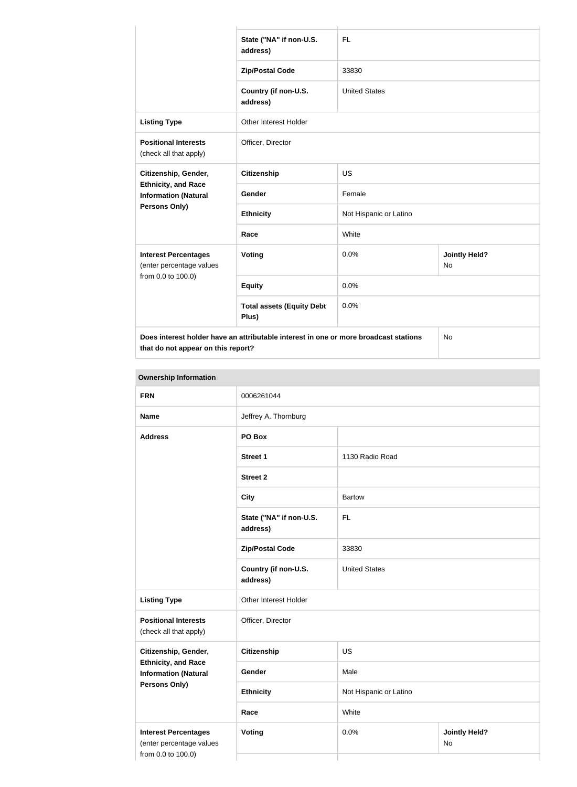|                                                                                                                            | State ("NA" if non-U.S.<br>address)       | <b>FL</b>              |                                   |  |
|----------------------------------------------------------------------------------------------------------------------------|-------------------------------------------|------------------------|-----------------------------------|--|
|                                                                                                                            | <b>Zip/Postal Code</b>                    | 33830                  |                                   |  |
|                                                                                                                            | Country (if non-U.S.<br>address)          | <b>United States</b>   |                                   |  |
| <b>Listing Type</b>                                                                                                        | <b>Other Interest Holder</b>              |                        |                                   |  |
| <b>Positional Interests</b><br>(check all that apply)                                                                      | Officer, Director                         |                        |                                   |  |
| Citizenship, Gender,                                                                                                       | <b>Citizenship</b>                        | <b>US</b>              |                                   |  |
| <b>Ethnicity, and Race</b><br><b>Information (Natural</b>                                                                  | Gender                                    | Female                 |                                   |  |
| Persons Only)                                                                                                              | <b>Ethnicity</b>                          | Not Hispanic or Latino |                                   |  |
|                                                                                                                            | Race                                      | White                  |                                   |  |
| <b>Interest Percentages</b><br>(enter percentage values                                                                    | Voting                                    | 0.0%                   | <b>Jointly Held?</b><br><b>No</b> |  |
| from 0.0 to 100.0)                                                                                                         | <b>Equity</b>                             | 0.0%                   |                                   |  |
|                                                                                                                            | <b>Total assets (Equity Debt</b><br>Plus) | 0.0%                   |                                   |  |
| Does interest holder have an attributable interest in one or more broadcast stations<br>that do not appear on this report? |                                           |                        | <b>No</b>                         |  |

| <b>Ownership Information</b>                                                  |                                     |                                    |  |  |
|-------------------------------------------------------------------------------|-------------------------------------|------------------------------------|--|--|
| <b>FRN</b>                                                                    | 0006261044                          |                                    |  |  |
| <b>Name</b>                                                                   | Jeffrey A. Thornburg                |                                    |  |  |
| <b>Address</b>                                                                | PO Box                              |                                    |  |  |
|                                                                               | <b>Street 1</b>                     | 1130 Radio Road                    |  |  |
|                                                                               | <b>Street 2</b>                     |                                    |  |  |
|                                                                               | <b>City</b>                         | <b>Bartow</b>                      |  |  |
|                                                                               | State ("NA" if non-U.S.<br>address) | <b>FL</b>                          |  |  |
|                                                                               | <b>Zip/Postal Code</b>              | 33830                              |  |  |
|                                                                               | Country (if non-U.S.<br>address)    | <b>United States</b>               |  |  |
| <b>Listing Type</b>                                                           | Other Interest Holder               |                                    |  |  |
| <b>Positional Interests</b><br>(check all that apply)                         | Officer, Director                   |                                    |  |  |
| Citizenship, Gender,                                                          | <b>Citizenship</b>                  | <b>US</b>                          |  |  |
| <b>Ethnicity, and Race</b><br><b>Information (Natural</b>                     | Gender                              | Male                               |  |  |
| <b>Persons Only)</b>                                                          | <b>Ethnicity</b>                    | Not Hispanic or Latino             |  |  |
|                                                                               | White<br>Race                       |                                    |  |  |
| <b>Interest Percentages</b><br>(enter percentage values<br>from 0.0 to 100.0) | <b>Voting</b>                       | 0.0%<br><b>Jointly Held?</b><br>No |  |  |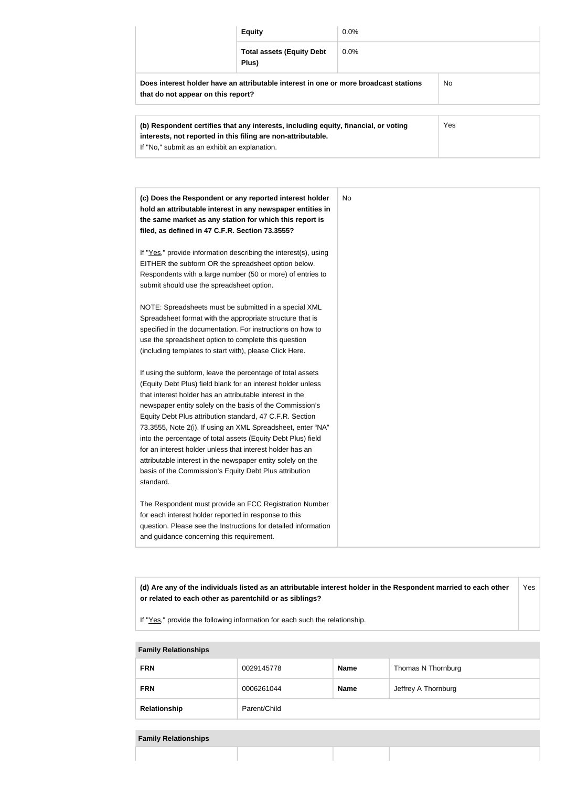|                                                                                                                            | <b>Equity</b>                             | $0.0\%$ |           |
|----------------------------------------------------------------------------------------------------------------------------|-------------------------------------------|---------|-----------|
|                                                                                                                            | <b>Total assets (Equity Debt</b><br>Plus) | $0.0\%$ |           |
| Does interest holder have an attributable interest in one or more broadcast stations<br>that do not appear on this report? |                                           |         | <b>No</b> |

| (b) Respondent certifies that any interests, including equity, financial, or voting<br>interests, not reported in this filing are non-attributable. | Yes |
|-----------------------------------------------------------------------------------------------------------------------------------------------------|-----|
| If "No," submit as an exhibit an explanation.                                                                                                       |     |

| (c) Does the Respondent or any reported interest holder<br>hold an attributable interest in any newspaper entities in<br>the same market as any station for which this report is<br>filed, as defined in 47 C.F.R. Section 73.3555?                                                                                                                                                                                                                                                                                                                                                                                                              | <b>No</b> |
|--------------------------------------------------------------------------------------------------------------------------------------------------------------------------------------------------------------------------------------------------------------------------------------------------------------------------------------------------------------------------------------------------------------------------------------------------------------------------------------------------------------------------------------------------------------------------------------------------------------------------------------------------|-----------|
| If "Yes," provide information describing the interest(s), using<br>EITHER the subform OR the spreadsheet option below.<br>Respondents with a large number (50 or more) of entries to<br>submit should use the spreadsheet option.                                                                                                                                                                                                                                                                                                                                                                                                                |           |
| NOTE: Spreadsheets must be submitted in a special XML<br>Spreadsheet format with the appropriate structure that is<br>specified in the documentation. For instructions on how to<br>use the spreadsheet option to complete this question<br>(including templates to start with), please Click Here.                                                                                                                                                                                                                                                                                                                                              |           |
| If using the subform, leave the percentage of total assets<br>(Equity Debt Plus) field blank for an interest holder unless<br>that interest holder has an attributable interest in the<br>newspaper entity solely on the basis of the Commission's<br>Equity Debt Plus attribution standard, 47 C.F.R. Section<br>73.3555, Note 2(i). If using an XML Spreadsheet, enter "NA"<br>into the percentage of total assets (Equity Debt Plus) field<br>for an interest holder unless that interest holder has an<br>attributable interest in the newspaper entity solely on the<br>basis of the Commission's Equity Debt Plus attribution<br>standard. |           |
| The Respondent must provide an FCC Registration Number<br>for each interest holder reported in response to this<br>question. Please see the Instructions for detailed information<br>and guidance concerning this requirement.                                                                                                                                                                                                                                                                                                                                                                                                                   |           |

**(d) Are any of the individuals listed as an attributable interest holder in the Respondent married to each other or related to each other as parentchild or as siblings?** Yes

If "Yes," provide the following information for each such the relationship.

| <b>FRN</b>   | 0029145778   | <b>Name</b> | Thomas N Thornburg  |
|--------------|--------------|-------------|---------------------|
| <b>FRN</b>   | 0006261044   | <b>Name</b> | Jeffrey A Thornburg |
| Relationship | Parent/Child |             |                     |

## **Family Relationships**

| <b>Family Relationships</b> |  |
|-----------------------------|--|
|-----------------------------|--|